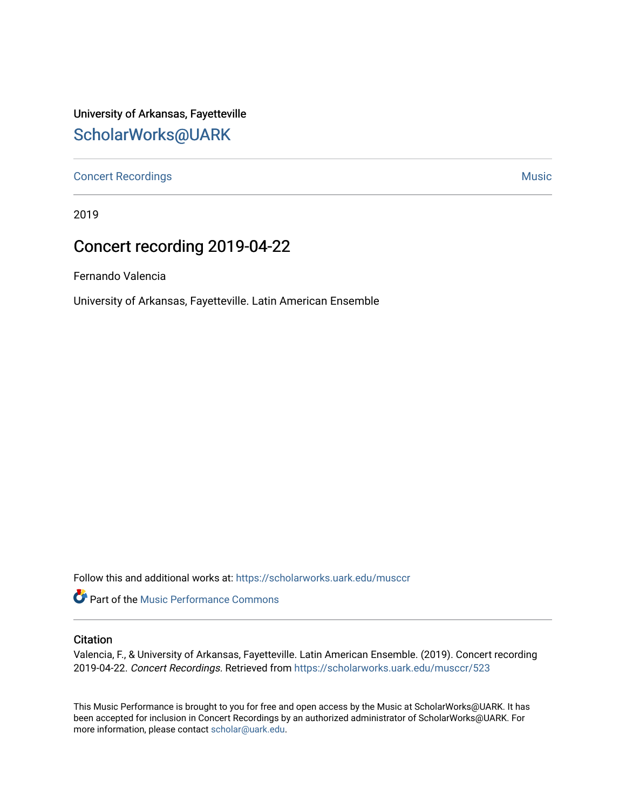University of Arkansas, Fayetteville [ScholarWorks@UARK](https://scholarworks.uark.edu/) 

[Concert Recordings](https://scholarworks.uark.edu/musccr) [Music](https://scholarworks.uark.edu/musc) Network and Security Assembly and Security Assembly Assembly Assembly Assembly Assembly

2019

# Concert recording 2019-04-22

Fernando Valencia

University of Arkansas, Fayetteville. Latin American Ensemble

Follow this and additional works at: [https://scholarworks.uark.edu/musccr](https://scholarworks.uark.edu/musccr?utm_source=scholarworks.uark.edu%2Fmusccr%2F523&utm_medium=PDF&utm_campaign=PDFCoverPages) 

**Part of the [Music Performance Commons](http://network.bepress.com/hgg/discipline/1128?utm_source=scholarworks.uark.edu%2Fmusccr%2F523&utm_medium=PDF&utm_campaign=PDFCoverPages)** 

#### **Citation**

Valencia, F., & University of Arkansas, Fayetteville. Latin American Ensemble. (2019). Concert recording 2019-04-22. Concert Recordings. Retrieved from [https://scholarworks.uark.edu/musccr/523](https://scholarworks.uark.edu/musccr/523?utm_source=scholarworks.uark.edu%2Fmusccr%2F523&utm_medium=PDF&utm_campaign=PDFCoverPages) 

This Music Performance is brought to you for free and open access by the Music at ScholarWorks@UARK. It has been accepted for inclusion in Concert Recordings by an authorized administrator of ScholarWorks@UARK. For more information, please contact [scholar@uark.edu.](mailto:scholar@uark.edu)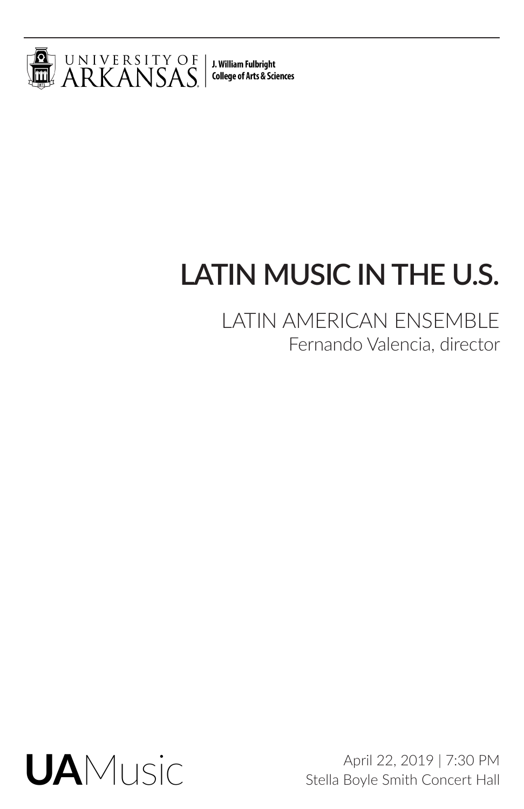

J. William Fulbright **College of Arts & Sciences** 

# **LATIN MUSIC IN THE U.S.**

LATIN AMERICAN ENSEMBLE Fernando Valencia, director



April 22, 2019 | 7:30 PM Stella Boyle Smith Concert Hall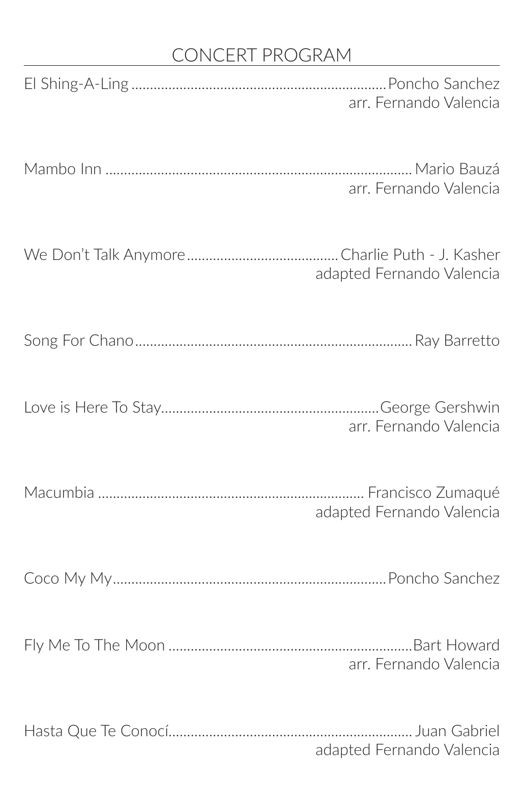# CONCERT PROGRAM

| arr. Fernando Valencia    |
|---------------------------|
| arr. Fernando Valencia    |
| adapted Fernando Valencia |
|                           |
| arr. Fernando Valencia    |
| adapted Fernando Valencia |
|                           |
| arr. Fernando Valencia    |
| adapted Fernando Valencia |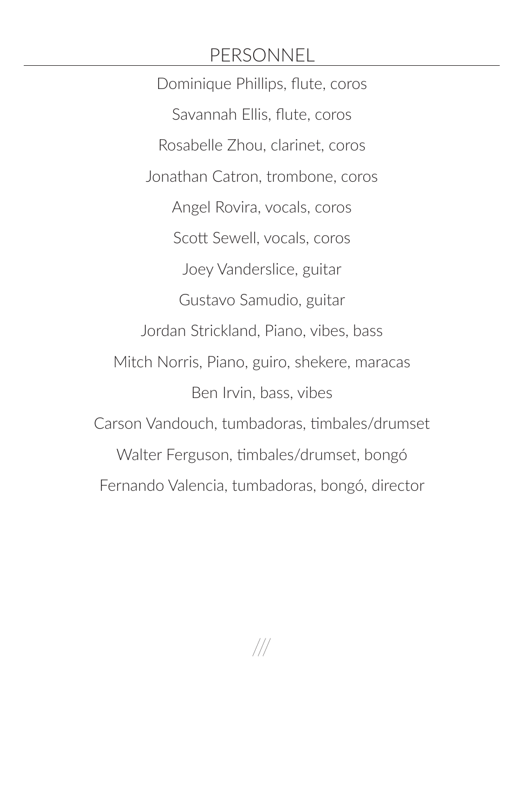## PERSONNEL

Dominique Phillips, flute, coros Savannah Ellis, flute, coros Rosabelle Zhou, clarinet, coros Jonathan Catron, trombone, coros Angel Rovira, vocals, coros Scott Sewell, vocals, coros Joey Vanderslice, guitar Gustavo Samudio, guitar Jordan Strickland, Piano, vibes, bass Mitch Norris, Piano, guiro, shekere, maracas Ben Irvin, bass, vibes Carson Vandouch, tumbadoras, timbales/drumset Walter Ferguson, timbales/drumset, bongó Fernando Valencia, tumbadoras, bongó, director

///